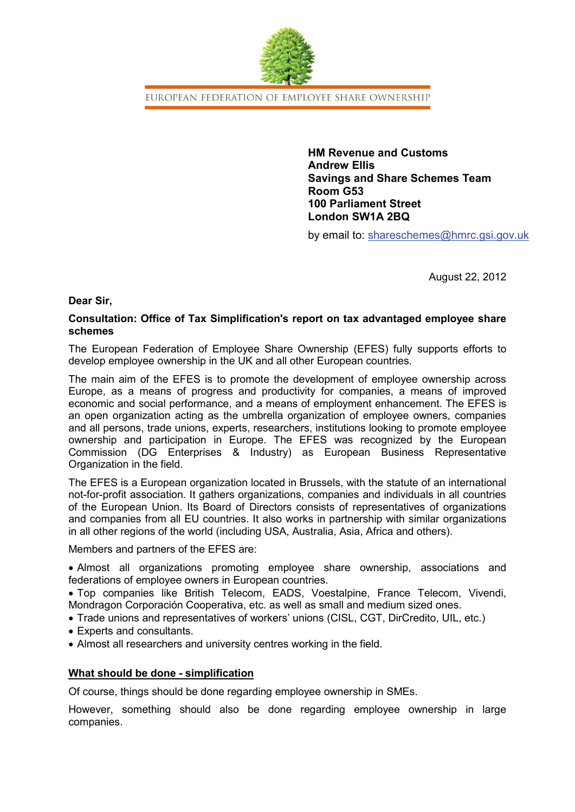

EUROPEAN FEDERATION OF EMPLOYEE SHARE OWNERSHIP

**HM Revenue and Customs Andrew Ellis Savings and Share Schemes Team Room G53 100 Parliament Street London SW1A 2BQ**

by email to: shareschemes@hmrc.gsi.gov.uk

August 22, 2012

# **Dear Sir,**

# **Consultation: Office of Tax Simplification's report on tax advantaged employee share schemes**

The European Federation of Employee Share Ownership (EFES) fully supports efforts to develop employee ownership in the UK and all other European countries.

The main aim of the EFES is to promote the development of employee ownership across Europe, as a means of progress and productivity for companies, a means of improved economic and social performance, and a means of employment enhancement. The EFES is an open organization acting as the umbrella organization of employee owners, companies and all persons, trade unions, experts, researchers, institutions looking to promote employee ownership and participation in Europe. The EFES was recognized by the European Commission (DG Enterprises & Industry) as European Business Representative Organization in the field.

The EFES is a European organization located in Brussels, with the statute of an international not-for-profit association. It gathers organizations, companies and individuals in all countries of the European Union. Its Board of Directors consists of representatives of organizations and companies from all EU countries. It also works in partnership with similar organizations in all other regions of the world (including USA, Australia, Asia, Africa and others).

Members and partners of the EFES are:

• Almost all organizations promoting employee share ownership, associations and federations of employee owners in European countries.

• Top companies like British Telecom, EADS, Voestalpine, France Telecom, Vivendi, Mondragon Corporación Cooperativa, etc. as well as small and medium sized ones.

- Trade unions and representatives of workers' unions (CISL, CGT, DirCredito, UIL, etc.)
- Experts and consultants.
- Almost all researchers and university centres working in the field.

# **What should be done - simplification**

Of course, things should be done regarding employee ownership in SMEs.

However, something should also be done regarding employee ownership in large companies.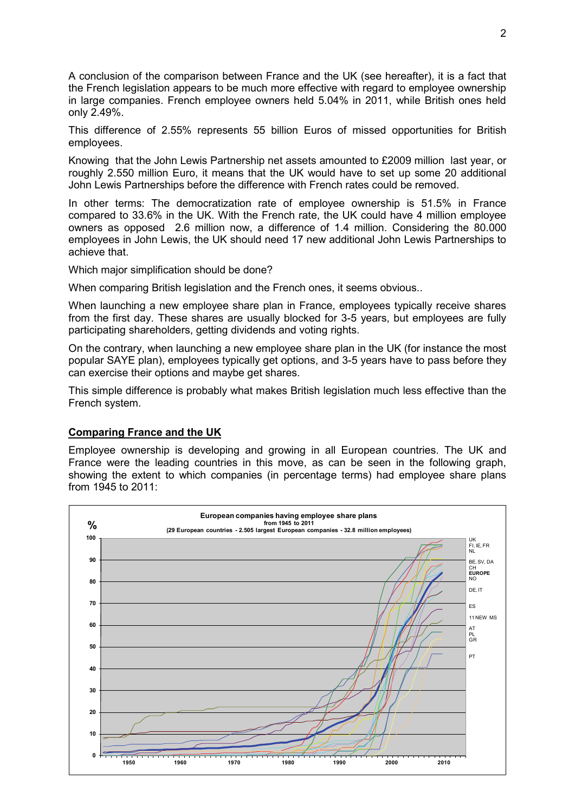A conclusion of the comparison between France and the UK (see hereafter), it is a fact that the French legislation appears to be much more effective with regard to employee ownership in large companies. French employee owners held 5.04% in 2011, while British ones held only 2.49%.

This difference of 2.55% represents 55 billion Euros of missed opportunities for British employees.

Knowing that the John Lewis Partnership net assets amounted to £2009 million last year, or roughly 2.550 million Euro, it means that the UK would have to set up some 20 additional John Lewis Partnerships before the difference with French rates could be removed.

In other terms: The democratization rate of employee ownership is 51.5% in France compared to 33.6% in the UK. With the French rate, the UK could have 4 million employee owners as opposed 2.6 million now, a difference of 1.4 million. Considering the 80.000 employees in John Lewis, the UK should need 17 new additional John Lewis Partnerships to achieve that.

Which major simplification should be done?

When comparing British legislation and the French ones, it seems obvious..

When launching a new employee share plan in France, employees typically receive shares from the first day. These shares are usually blocked for 3-5 years, but employees are fully participating shareholders, getting dividends and voting rights.

On the contrary, when launching a new employee share plan in the UK (for instance the most popular SAYE plan), employees typically get options, and 3-5 years have to pass before they can exercise their options and maybe get shares.

This simple difference is probably what makes British legislation much less effective than the French system.

### **Comparing France and the UK**

Employee ownership is developing and growing in all European countries. The UK and France were the leading countries in this move, as can be seen in the following graph, showing the extent to which companies (in percentage terms) had employee share plans from 1945 to 2011:

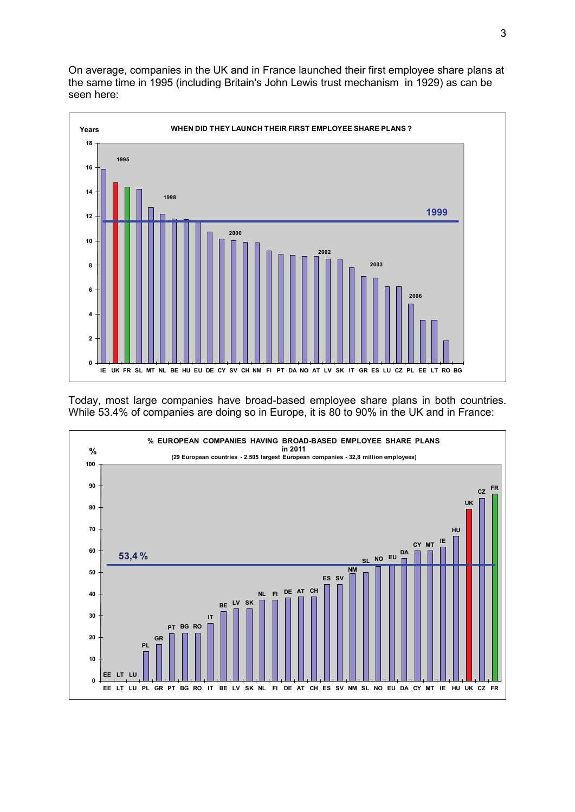On average, companies in the UK and in France launched their first employee share plans at the same time in 1995 (including Britain's John Lewis trust mechanism in 1929) as can be seen here:



Today, most large companies have broad-based employee share plans in both countries. While 53.4% of companies are doing so in Europe, it is 80 to 90% in the UK and in France:

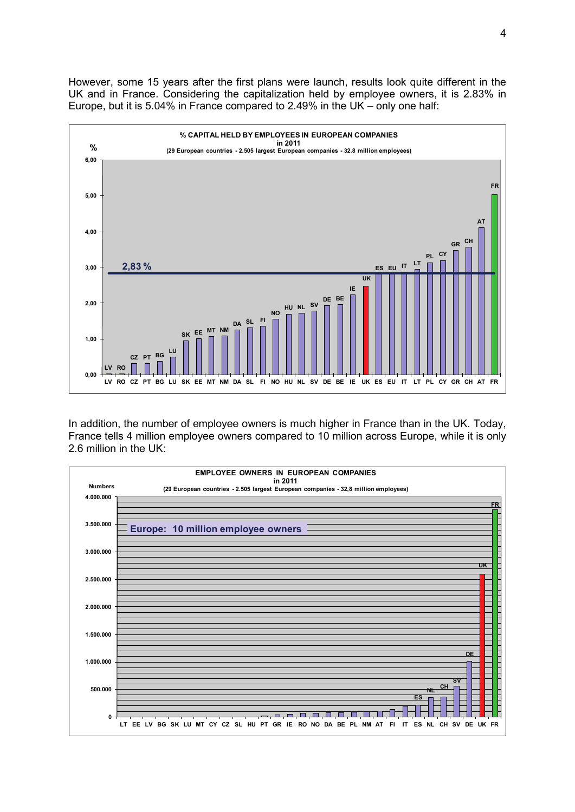However, some 15 years after the first plans were launch, results look quite different in the UK and in France. Considering the capitalization held by employee owners, it is 2.83% in Europe, but it is 5.04% in France compared to 2.49% in the UK – only one half:



In addition, the number of employee owners is much higher in France than in the UK. Today, France tells 4 million employee owners compared to 10 million across Europe, while it is only 2.6 million in the UK:

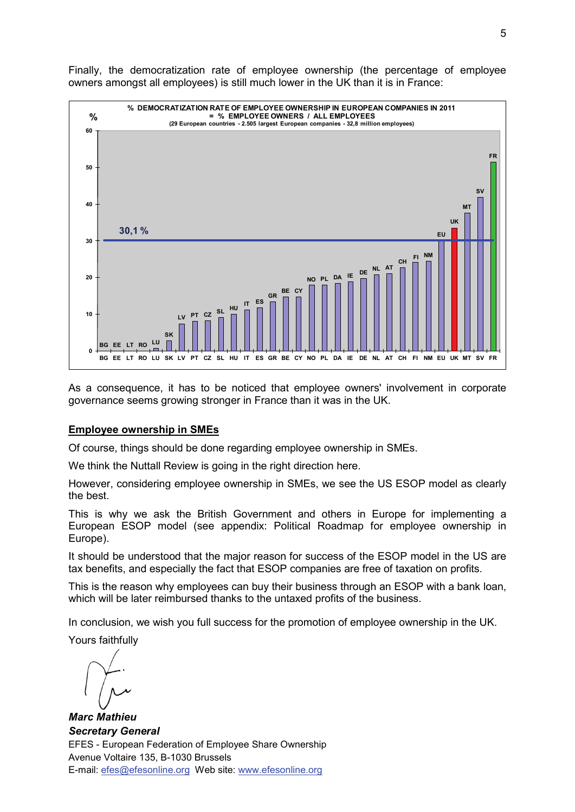

Finally, the democratization rate of employee ownership (the percentage of employee owners amongst all employees) is still much lower in the UK than it is in France:

As a consequence, it has to be noticed that employee owners' involvement in corporate governance seems growing stronger in France than it was in the UK.

### **Employee ownership in SMEs**

Of course, things should be done regarding employee ownership in SMEs.

We think the Nuttall Review is going in the right direction here.

However, considering employee ownership in SMEs, we see the US ESOP model as clearly the best.

This is why we ask the British Government and others in Europe for implementing a European ESOP model (see appendix: Political Roadmap for employee ownership in Europe).

It should be understood that the major reason for success of the ESOP model in the US are tax benefits, and especially the fact that ESOP companies are free of taxation on profits.

This is the reason why employees can buy their business through an ESOP with a bank loan, which will be later reimbursed thanks to the untaxed profits of the business.

In conclusion, we wish you full success for the promotion of employee ownership in the UK.

Yours faithfully

 $\overline{a}$ 

*Marc Mathieu Secretary General* EFES - European Federation of Employee Share Ownership Avenue Voltaire 135, B-1030 Brussels E-mail: [efes@efesonline.org](mailto:efes@efesonline.org) Web site: [www.efesonline.org](http://www.efesonline.org/)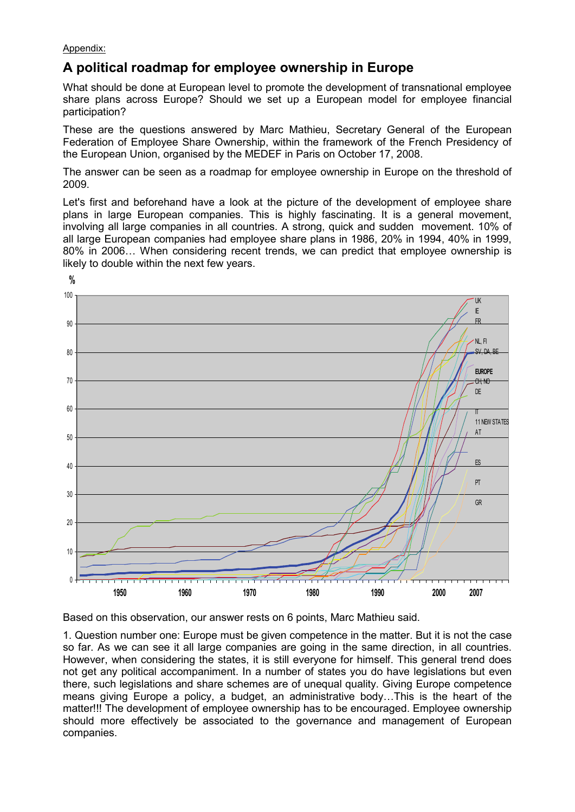Appendix:

# **A political roadmap for employee ownership in Europe**

What should be done at European level to promote the development of transnational employee share plans across Europe? Should we set up a European model for employee financial participation?

These are the questions answered by Marc Mathieu, Secretary General of the European Federation of Employee Share Ownership, within the framework of the French Presidency of the European Union, organised by the MEDEF in Paris on October 17, 2008.

The answer can be seen as a roadmap for employee ownership in Europe on the threshold of 2009.

Let's first and beforehand have a look at the picture of the development of employee share plans in large European companies. This is highly fascinating. It is a general movement, involving all large companies in all countries. A strong, quick and sudden movement. 10% of all large European companies had employee share plans in 1986, 20% in 1994, 40% in 1999, 80% in 2006… When considering recent trends, we can predict that employee ownership is likely to double within the next few years.



Based on this observation, our answer rests on 6 points, Marc Mathieu said.

1. Question number one: Europe must be given competence in the matter. But it is not the case so far. As we can see it all large companies are going in the same direction, in all countries. However, when considering the states, it is still everyone for himself. This general trend does not get any political accompaniment. In a number of states you do have legislations but even there, such legislations and share schemes are of unequal quality. Giving Europe competence means giving Europe a policy, a budget, an administrative body…This is the heart of the matter!!! The development of employee ownership has to be encouraged. Employee ownership should more effectively be associated to the governance and management of European companies.